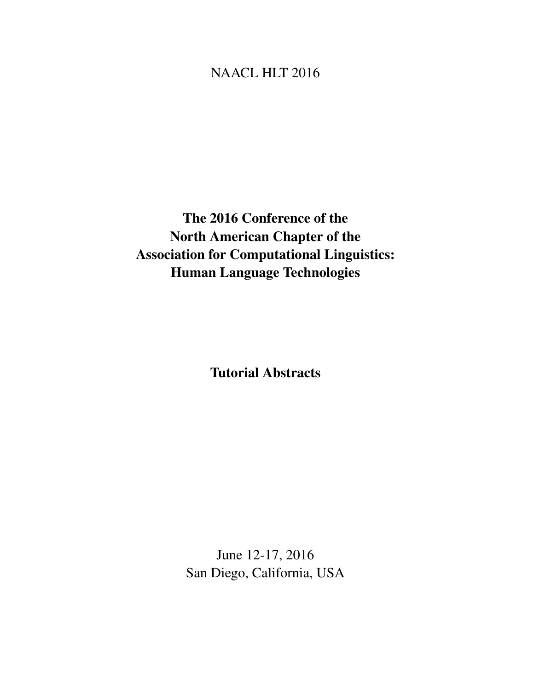# <span id="page-0-0"></span>NAACL HLT 2016

The 2016 Conference of the North American Chapter of the Association for Computational Linguistics: Human Language Technologies

Tutorial Abstracts

June 12-17, 2016 San Diego, California, USA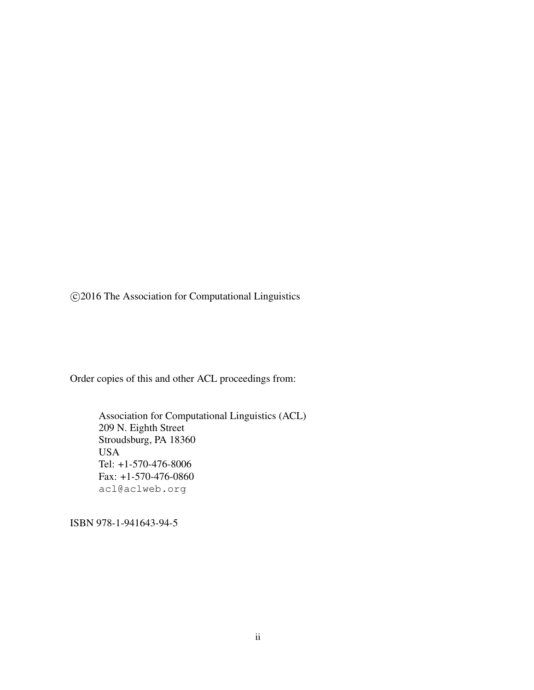c 2016 The Association for Computational Linguistics

Order copies of this and other ACL proceedings from:

Association for Computational Linguistics (ACL) 209 N. Eighth Street Stroudsburg, PA 18360 USA Tel: +1-570-476-8006 Fax: +1-570-476-0860 acl@aclweb.org

ISBN 978-1-941643-94-5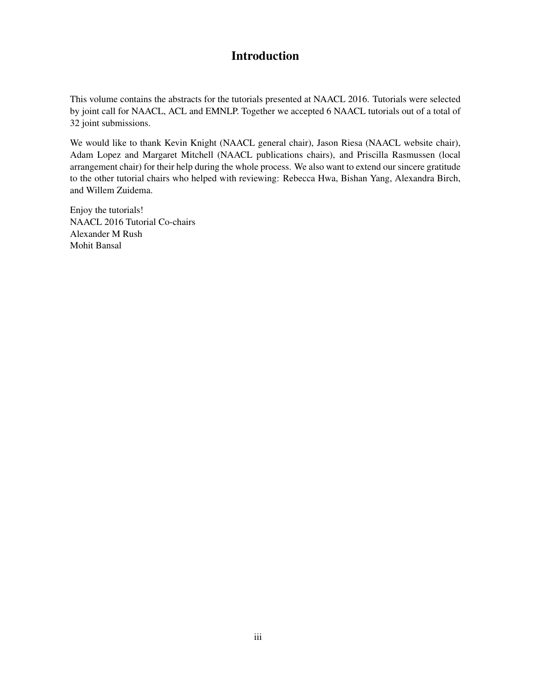### Introduction

This volume contains the abstracts for the tutorials presented at NAACL 2016. Tutorials were selected by joint call for NAACL, ACL and EMNLP. Together we accepted 6 NAACL tutorials out of a total of 32 joint submissions.

We would like to thank Kevin Knight (NAACL general chair), Jason Riesa (NAACL website chair), Adam Lopez and Margaret Mitchell (NAACL publications chairs), and Priscilla Rasmussen (local arrangement chair) for their help during the whole process. We also want to extend our sincere gratitude to the other tutorial chairs who helped with reviewing: Rebecca Hwa, Bishan Yang, Alexandra Birch, and Willem Zuidema.

Enjoy the tutorials! NAACL 2016 Tutorial Co-chairs Alexander M Rush Mohit Bansal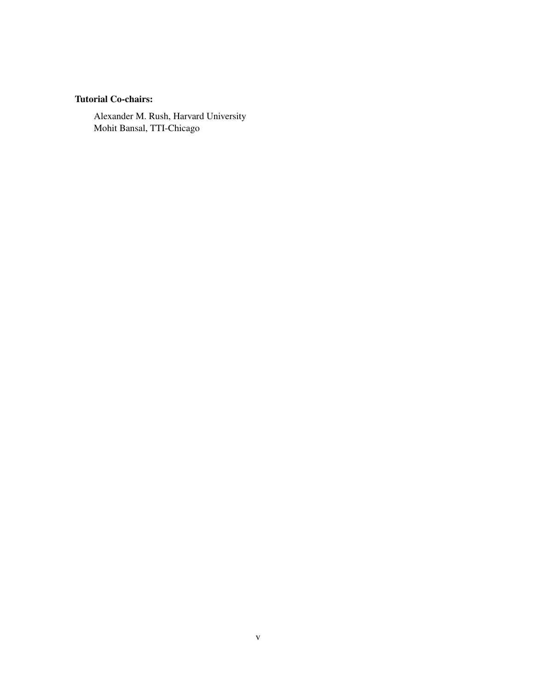### Tutorial Co-chairs:

Alexander M. Rush, Harvard University Mohit Bansal, TTI-Chicago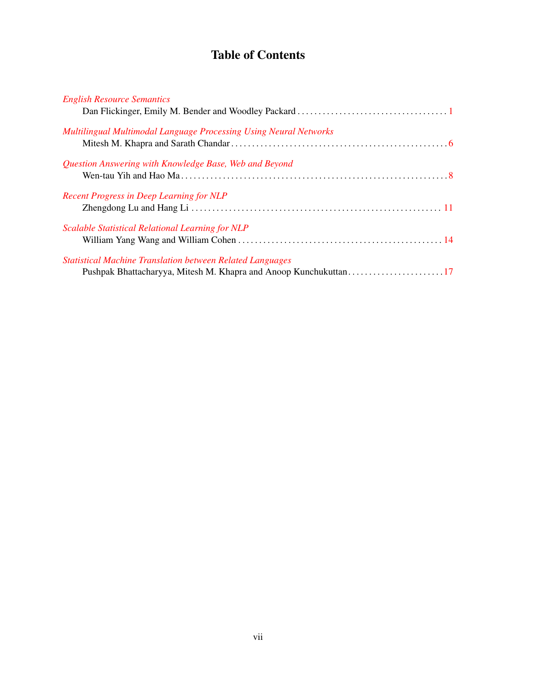## Table of Contents

| <b>English Resource Semantics</b>                                 |  |
|-------------------------------------------------------------------|--|
|                                                                   |  |
| Multilingual Multimodal Language Processing Using Neural Networks |  |
|                                                                   |  |
|                                                                   |  |
| Question Answering with Knowledge Base, Web and Beyond            |  |
|                                                                   |  |
|                                                                   |  |
| <b>Recent Progress in Deep Learning for NLP</b>                   |  |
|                                                                   |  |
|                                                                   |  |
| Scalable Statistical Relational Learning for NLP                  |  |
|                                                                   |  |
|                                                                   |  |
| <b>Statistical Machine Translation between Related Languages</b>  |  |
| Pushpak Bhattacharyya, Mitesh M. Khapra and Anoop Kunchukuttan17  |  |